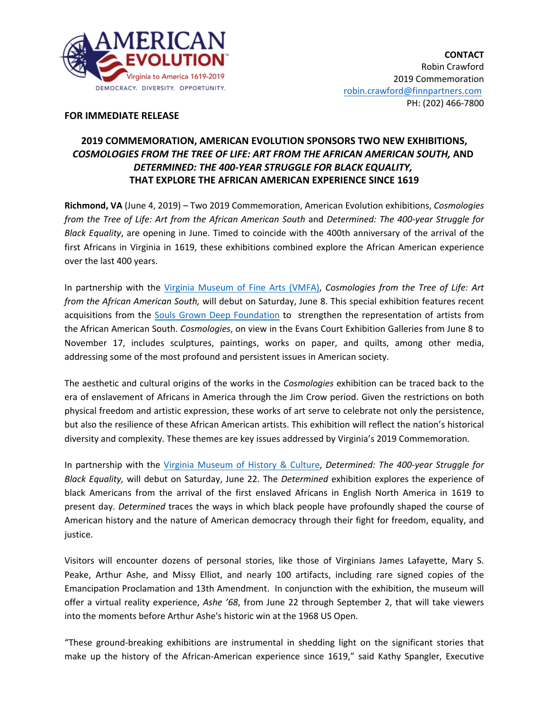

## **FOR IMMEDIATE RELEASE**

# **2019 COMMEMORATION, AMERICAN EVOLUTION SPONSORS TWO NEW EXHIBITIONS,** *COSMOLOGIES FROM THE TREE OF LIFE: ART FROM THE AFRICAN AMERICAN SOUTH,* **AND**  *DETERMINED: THE 400-YEAR STRUGGLE FOR BLACK EQUALITY,*  **THAT EXPLORE THE AFRICAN AMERICAN EXPERIENCE SINCE 1619**

**Richmond, VA** (June 4, 2019) – Two 2019 Commemoration, American Evolution exhibitions, *Cosmologies from the Tree of Life: Art from the African American South* and *Determined: The 400-year Struggle for Black Equality*, are opening in June. Timed to coincide with the 400th anniversary of the arrival of the first Africans in Virginia in 1619, these exhibitions combined explore the African American experience over the last 400 years.

In partnership with the Virginia Museum of Fine Arts (VMFA), *Cosmologies from the Tree of Life: Art from the African American South,* will debut on Saturday, June 8. This special exhibition features recent acquisitions from the Souls Grown Deep Foundation to strengthen the representation of artists from the African American South. *Cosmologies*, on view in the Evans Court Exhibition Galleries from June 8 to November 17, includes sculptures, paintings, works on paper, and quilts, among other media, addressing some of the most profound and persistent issues in American society.

The aesthetic and cultural origins of the works in the *Cosmologies* exhibition can be traced back to the era of enslavement of Africans in America through the Jim Crow period. Given the restrictions on both physical freedom and artistic expression, these works of art serve to celebrate not only the persistence, but also the resilience of these African American artists. This exhibition will reflect the nation's historical diversity and complexity. These themes are key issues addressed by Virginia's 2019 Commemoration.

In partnership with the Virginia Museum of History & Culture, *Determined: The 400-year Struggle for Black Equality,* will debut on Saturday, June 22. The *Determined* exhibition explores the experience of black Americans from the arrival of the first enslaved Africans in English North America in 1619 to present day. *Determined* traces the ways in which black people have profoundly shaped the course of American history and the nature of American democracy through their fight for freedom, equality, and justice.

Visitors will encounter dozens of personal stories, like those of Virginians James Lafayette, Mary S. Peake, Arthur Ashe, and Missy Elliot, and nearly 100 artifacts, including rare signed copies of the Emancipation Proclamation and 13th Amendment. In conjunction with the exhibition, the museum will offer a virtual reality experience, *Ashe '68*, from June 22 through September 2, that will take viewers into the moments before Arthur Ashe's historic win at the 1968 US Open.

"These ground-breaking exhibitions are instrumental in shedding light on the significant stories that make up the history of the African-American experience since 1619," said Kathy Spangler, Executive